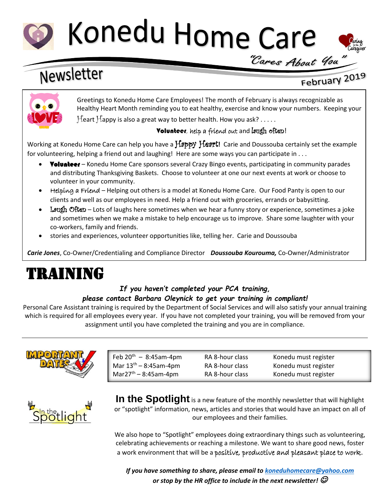

# Konedu Home Care



# Newsletter

# February 2019



Greetings to Konedu Home Care Employees! The month of February is always recognizable as Healthy Heart Month reminding you to eat healthy, exercise and know your numbers. Keeping your Heart Happy is also a great way to better health. How you ask?  $\dots$ .

# **Volunteer**, help a friend out and laugh often!

Working at Konedu Home Care can help you have a **Happy Heart!** Carie and Doussouba certainly set the example for volunteering, helping a friend out and laughing! Here are some ways you can participate in . . .

- **Volunteer** Konedu Home Care sponsors several Crazy Bingo events, participating in community parades and distributing Thanksgiving Baskets. Choose to volunteer at one our next events at work or choose to volunteer in your community.
- Helping a Friend Helping out others is a model at Konedu Home Care. Our Food Panty is open to our clients and well as our employees in need. Help a friend out with groceries, errands or babysitting.
- Laugh Often Lots of laughs here sometimes when we hear a funny story or experience, sometimes a joke and sometimes when we make a mistake to help encourage us to improve. Share some laughter with your co-workers, family and friends.
- stories and experiences, volunteer opportunities like, telling her. Carie and Doussouba

*Carie Jones*, Co-Owner/Credentialing and Compliance Director *Doussouba Kourouma,* Co-Owner/Administrator

# TRAINING

## *If you haven't completed your PCA training, please contact Barbara Oleynick to get your training in compliant!*

Personal Care Assistant training is required by the Department of Social Services and will also satisfy your annual training which is required for all employees every year. If you have not completed your training, you will be removed from your assignment until you have completed the training and you are in compliance.



| Feb $20^{th} - 8:45$ am-4pm      | RA 8-hour class | Konedu must register |
|----------------------------------|-----------------|----------------------|
| Mar $13^{th} - 8:45$ am-4pm      | RA 8-hour class | Konedu must register |
| Mar27 <sup>th</sup> – 8:45am-4pm | RA 8-hour class | Konedu must register |



**In the Spotlight** is a new feature of the monthly newsletter that will highlight or "spotlight" information, news, articles and stories that would have an impact on all of our employees and their families.

We also hope to "Spotlight" employees doing extraordinary things such as volunteering, celebrating achievements or reaching a milestone. We want to share good news, foster a work environment that will be a positive, productive and pleasant place to work.

*If you have something to share, please email to [koneduhomecare@yahoo.com](mailto:koneduhomecare@yahoo.com) or stop by the HR office to include in the next newsletter!*  $\mathcal O$